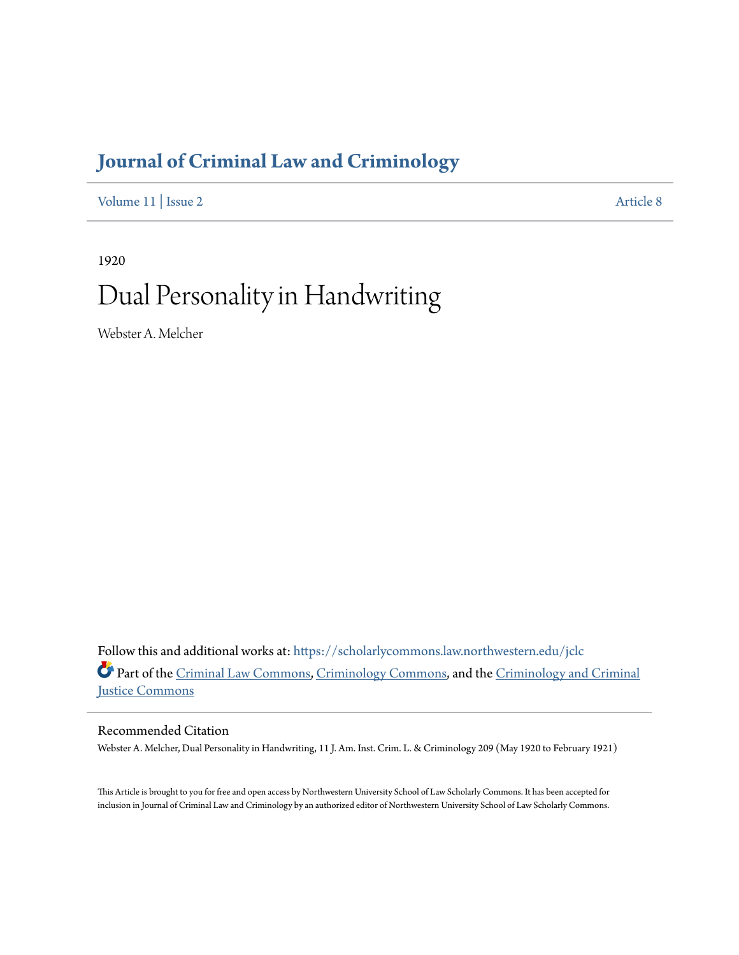### **[Journal of Criminal Law and Criminology](https://scholarlycommons.law.northwestern.edu/jclc?utm_source=scholarlycommons.law.northwestern.edu%2Fjclc%2Fvol11%2Fiss2%2F8&utm_medium=PDF&utm_campaign=PDFCoverPages)**

[Volume 11](https://scholarlycommons.law.northwestern.edu/jclc/vol11?utm_source=scholarlycommons.law.northwestern.edu%2Fjclc%2Fvol11%2Fiss2%2F8&utm_medium=PDF&utm_campaign=PDFCoverPages) | [Issue 2](https://scholarlycommons.law.northwestern.edu/jclc/vol11/iss2?utm_source=scholarlycommons.law.northwestern.edu%2Fjclc%2Fvol11%2Fiss2%2F8&utm_medium=PDF&utm_campaign=PDFCoverPages) [Article 8](https://scholarlycommons.law.northwestern.edu/jclc/vol11/iss2/8?utm_source=scholarlycommons.law.northwestern.edu%2Fjclc%2Fvol11%2Fiss2%2F8&utm_medium=PDF&utm_campaign=PDFCoverPages)

# 1920 Dual Personality in Handwriting

Webster A. Melcher

Follow this and additional works at: [https://scholarlycommons.law.northwestern.edu/jclc](https://scholarlycommons.law.northwestern.edu/jclc?utm_source=scholarlycommons.law.northwestern.edu%2Fjclc%2Fvol11%2Fiss2%2F8&utm_medium=PDF&utm_campaign=PDFCoverPages) Part of the [Criminal Law Commons](http://network.bepress.com/hgg/discipline/912?utm_source=scholarlycommons.law.northwestern.edu%2Fjclc%2Fvol11%2Fiss2%2F8&utm_medium=PDF&utm_campaign=PDFCoverPages), [Criminology Commons](http://network.bepress.com/hgg/discipline/417?utm_source=scholarlycommons.law.northwestern.edu%2Fjclc%2Fvol11%2Fiss2%2F8&utm_medium=PDF&utm_campaign=PDFCoverPages), and the [Criminology and Criminal](http://network.bepress.com/hgg/discipline/367?utm_source=scholarlycommons.law.northwestern.edu%2Fjclc%2Fvol11%2Fiss2%2F8&utm_medium=PDF&utm_campaign=PDFCoverPages) [Justice Commons](http://network.bepress.com/hgg/discipline/367?utm_source=scholarlycommons.law.northwestern.edu%2Fjclc%2Fvol11%2Fiss2%2F8&utm_medium=PDF&utm_campaign=PDFCoverPages)

#### Recommended Citation

Webster A. Melcher, Dual Personality in Handwriting, 11 J. Am. Inst. Crim. L. & Criminology 209 (May 1920 to February 1921)

This Article is brought to you for free and open access by Northwestern University School of Law Scholarly Commons. It has been accepted for inclusion in Journal of Criminal Law and Criminology by an authorized editor of Northwestern University School of Law Scholarly Commons.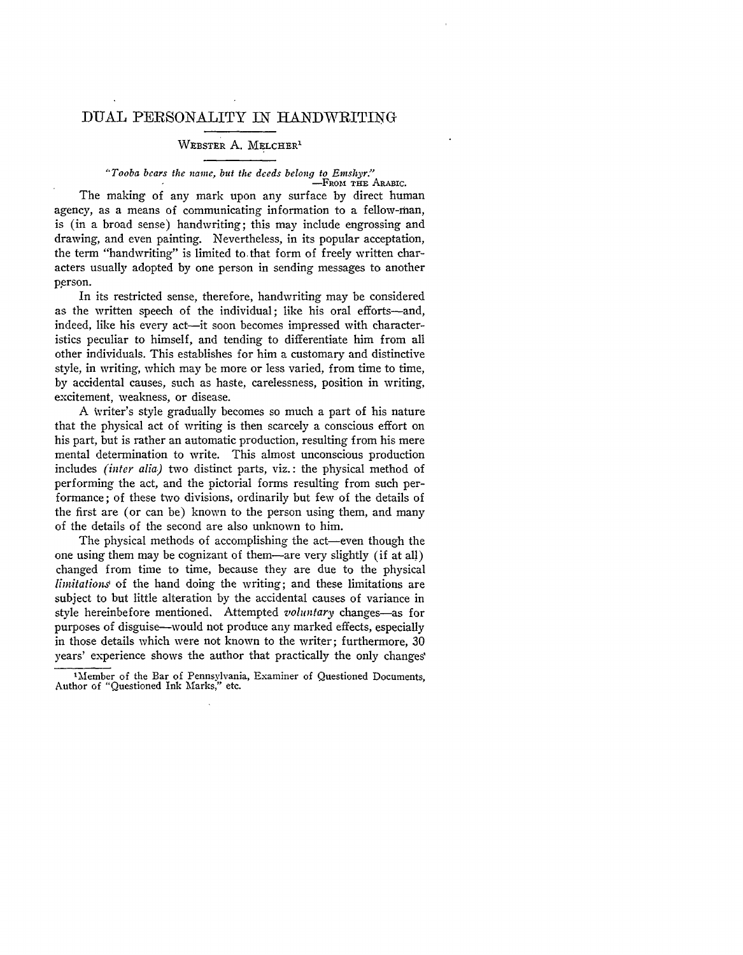#### DUAL PERSONALITY IN HANDWRITING

#### **WEBSTER** A. **MELCHER'**

## *"Tooba bears the name, but the deeds belong to Emshyr."*<br>-FROM THE ARABIC.

The making of any mark upon any surface by direct human agency, as a means of communicating information to a fellow-man, is (in a broad sense) handwriting; this may include engrossing and drawing, and even painting. Nevertheless, in its popular acceptation, the term "handwriting" is limited to that form of freely written characters usually adopted by one person in sending messages to another person.

In its restricted sense, therefore, handwriting may be considered as the written speech of the individual; like his oral efforts--and, indeed, like his every act--it soon becomes impressed with characteristics peculiar to himself, and tending to differentiate him from all other individuals. This establishes for him a customary and distinctive style, in writing, which may be more or less varied, from time to time, by accidental causes, such as haste, carelessness, position in writing, excitement, weakness, or disease.

A writer's style gradually becomes so much a part of his nature that the physical act of writing is then scarcely a conscious effort on his part, but is rather an automatic production, resulting from his mere mental determination to write. This almost unconscious production includes *(inter alia)* two distinct parts, viz.: the physical method of performing the act, and the pictorial forms resulting from such performance; of these two divisions, ordinarily but few of the details of the first are (or can be) known to the person using them, and many of the details of the second are also unknown to him.

The physical methods of accomplishing the act—even though the one using them may be cognizant of them-are very slightly (if at all) changed from time to time, because they are due to the physical *limitations* of the hand doing the writing; and these limitations are subject to but little alteration by the accidental causes of variance in style hereinbefore mentioned. Attempted *voluntary* changes-as for purposes of disguise-would not produce any marked effects, especially in those details which were not known to the writer; furthermore, 30 years' experience shows the author that practically the only changes'

<sup>&</sup>lt;sup>1</sup>Member of the Bar of Pennsylvania, Examiner of Questioned Documents, Author of "Questioned Ink Marks," etc.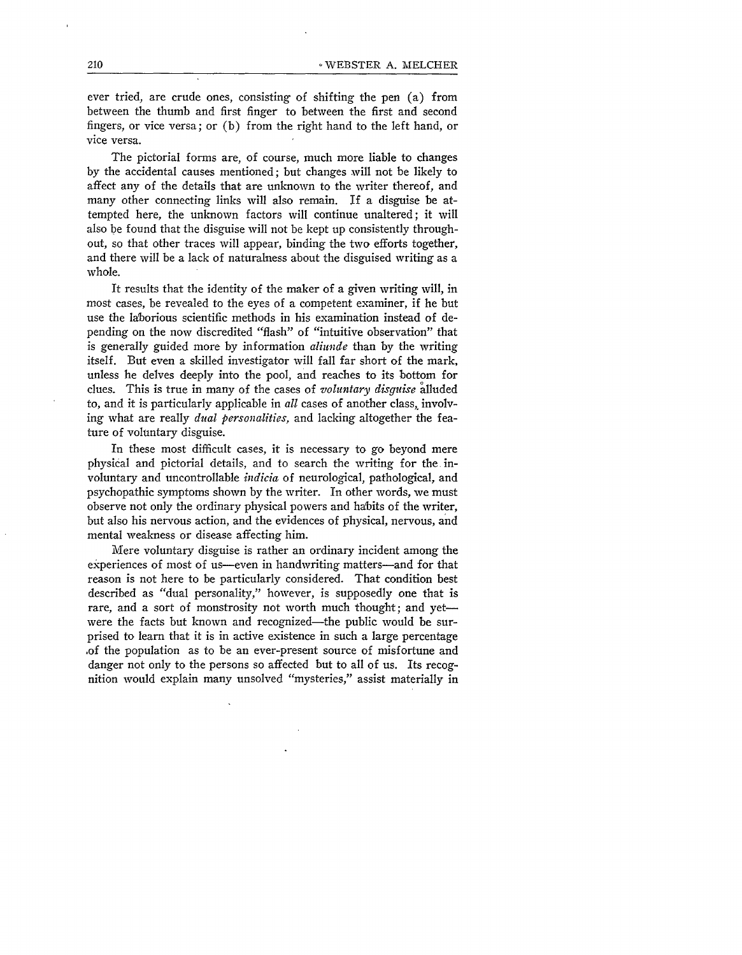ever tried, are crude ones, consisting of shifting the pen (a) from between the thumb and first finger to between the first and second fingers, or vice versa; or (b) from the right hand to the left hand, or vice versa.

The pictorial forms are, of course, much more liable to changes by the accidental causes mentioned; but changes will not be likely to affect any of the details that are unknown to the writer thereof, and many other connecting links will also remain. **If** a disguise be attempted here, the unknown factors will continue unaltered; it will also be found that the disguise will not be kept up consistently throughout, so that other traces will appear, binding the two efforts together, and there will be a lack of naturalness about the disguised writing as a whole.

It results that the identity of the maker of a given writing will, in most cases, be revealed to the eyes of a competent examiner, if he but use the laborious scientific methods in his examination instead of depending on the now discredited "flash" of "intuitive observation" that is generally guided more by information *aliunde* than by the writing itself. But even a skilled investigator will fall far short of the mark, unless he delves deeply into the pool, and reaches to its bottom for clues. This is true in many of the cases of *voluntary disguise* alluded to, and it is particularly applicable in *all* cases of another class, involving what are really *dual personalities,* and lacking altogether the feature of voluntary disguise.

In these most difficult cases, it is necessary to go beyond mere physical and pictorial details, and to search the writing for the. involuntary and uncontrollable *indicia* of neurological, pathological, and psychopathic symptoms shown by the writer. In other words, we must observe not only the ordinary physical powers and habits of the writer, but also his nervous action, and the evidences of physical, nervous, and mental weakness or disease affecting him.

Mere voluntary disguise is rather an ordinary incident among the experiences of most of us-even in handwriting matters-and for that reason is not here to be particularly considered. That condition best described as "dual personality," however, is supposedly one that is rare, and a sort of monstrosity not worth much thought; and yetwere the facts but known and recognized-the public would be surprised to learn that it is in active existence in such a large percentage .of the population as to be an ever-present source of misfortune and danger not only to the persons so affected but to all of us. Its recognition would explain many unsolved "mysteries," assist materially in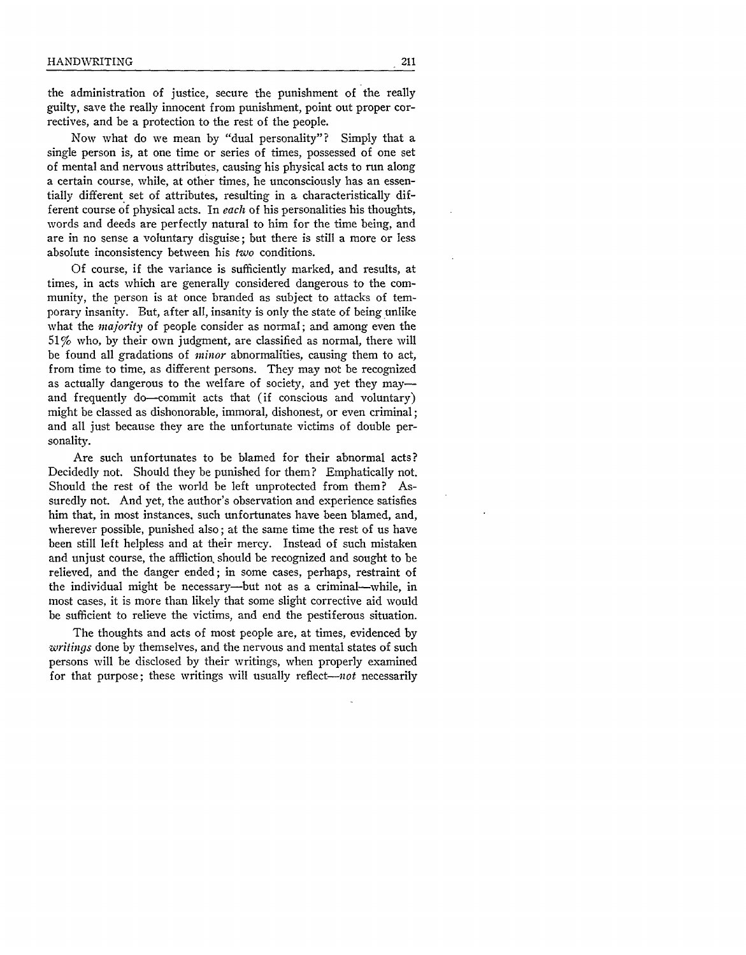the administration of justice, secure the punishment of the really guilty, save the really innocent from punishment, point out proper correctives, and be a protection to the rest of the people.

Now what do we mean by "dual personality"? Simply that a single person is, at one time or series of times, possessed of one set of mental and nervous attributes, causing his physical acts to run along a certain course, while, at other times, he unconsciously has an essentially different set of attributes, resulting in a characteristically different course of physical acts. In *each* of his personalities his thoughts, words and deeds are perfectly natural to him for the time being, and are in no sense a voluntary disguise; but there is still a more or less absolute inconsistency between his *two* conditions.

Of course, if the variance is sufficiently marked, and results, at times, in acts which are generally considered dangerous to the community, the person is at once branded as subject to attacks of temporary insanity. But, after all, insanity is only the state **of** being unlike what the *majority* of people consider as normal; and among even the 51% who, by their own judgment, are classified as normal, there will be found all gradations of *minor* abnormalities, causing them to act, from time to time, as different persons. They may not be recognized as actually dangerous to the welfare of society, and yet they mayand frequently do-commit acts that (if conscious and voluntary) might be classed as dishonorable, immoral, dishonest, or even criminal; and all just because they are the unfortunate victims of double personality.

Are such unfortunates to be blamed for their abnormal acts? Decidedly not. Should they be punished for them? Emphatically not. Should the rest of the world be left unprotected from them? Assuredly not. And yet, the author's observation and experience satisfies him that, in most instances, such unfortunates have been blamed, and, wherever possible, punished also; at the same time the rest **of** us have been still left helpless and at their mercy. Instead of such mistaken and unjust course, the affliction should be recognized and sought to be relieved, and the danger ended; in some cases, perhaps, restraint of the individual might be necessary-but not as a criminal-while, in most cases, it is more than likely that some slight corrective aid would be sufficient to relieve the victims, and end the pestiferous situation.

The thoughts and acts of most people are, at times, evidenced by *writings* done by themselves, and the nervous and mental states of such persons will be disclosed by their writings, when properly examined for that purpose; these writings will usually reflect— $not$  necessarily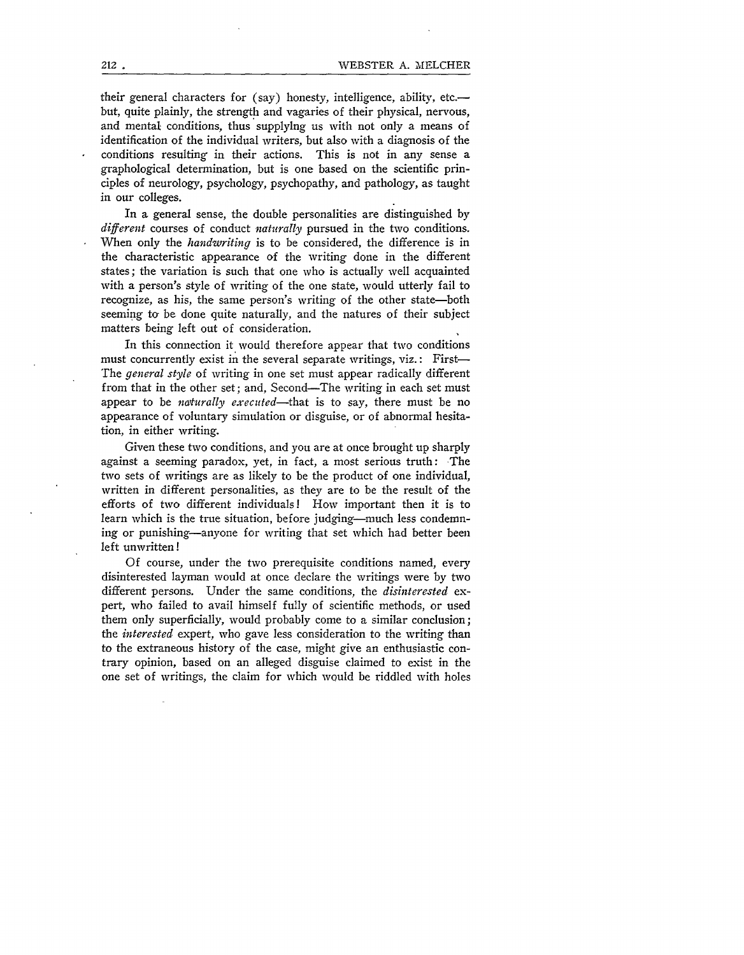their general characters for  $(say)$  honesty, intelligence, ability, etc. but, quite plainly, the strength and vagaries of their physical, nervous, and mental conditions, thus supplying us with not only a means of identification of the individual writers, but also with a diagnosis of the conditions resulting in their actions. This is not in any sense a graphological determination, but is one based on the scientific principles of neurology, psychology, psychopathy, and pathology, as taught in our colleges.

In a general sense, the double personalities are distinguished by *different* courses of conduct *naturally* pursued in the two conditions. When only the *handwriting* is to be considered, the difference is in the characteristic appearance of the writing done in the different states; the variation is such that one who is actually well acquainted with a person's style of writing of the one state, would utterly fail to recognize, as his, the same person's writing of the other state-both seeming **to** be done quite naturally, and the natures of their subject matters being left out of consideration.

In this connection it would therefore appear that two conditions must concurrently exist in the several separate writings, viz.: First-*The general style* of writing in one set must appear radically different from that in the other set; and, Second-The writing in each set must appear to be *naturally executed*-that is to say, there must be no appearance of voluntary simulation or disguise, or of abnormal hesitation, in either writing.

Given these two conditions, and you are at once brought up sharply against a seeming paradox, yet, in fact, a most serious truth: The two sets of writings are as likely to be the product of one individual, written in different personalities, as they are to be the result of the efforts of two different individuals! How important then it is to learn which is the true situation, before judging—much less condemning or punishing-anyone for writing that set which had better been left unwritten!

Of course, under the two prerequisite conditions named, every disinterested layman would at once declare the writings were by two different persons. Under the same conditions, the *disinterested* expert, who failed to avail himself fully of scientific methods, or used them only superficially, would probably come to a similar conclusion; the *interested* expert, who gave less consideration to the writing than to the extraneous history of the case, might give an enthusiastic contrary opinion, based on an alleged disguise claimed to exist in the one set of writings, the claim for which would be riddled with holes

212.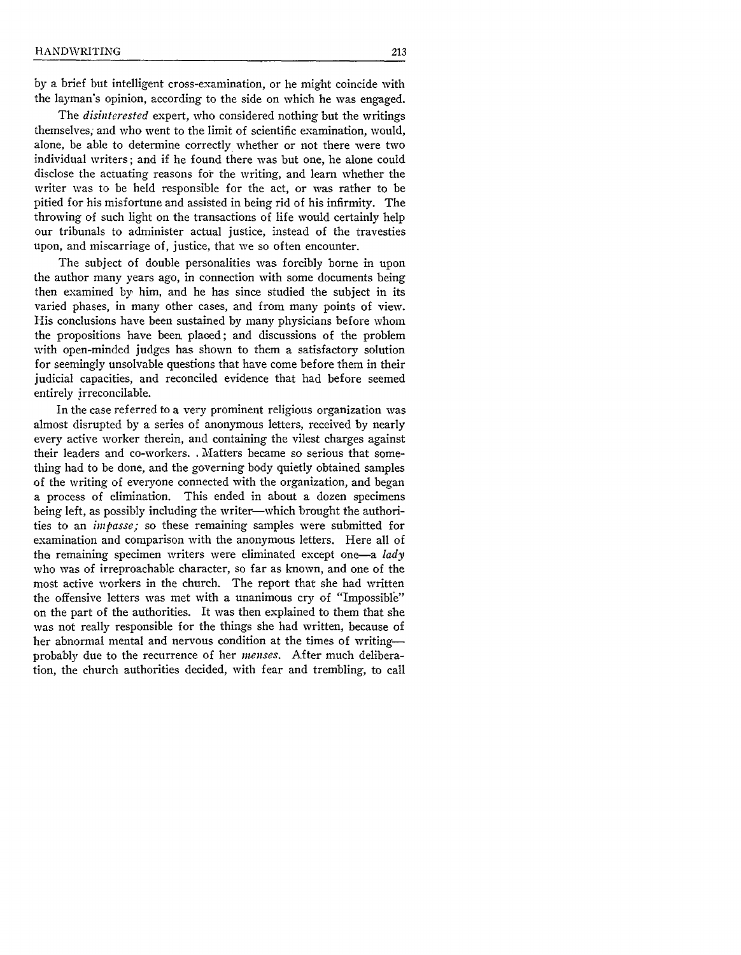by a brief but intelligent cross-examination, or he might coincide with the layman's opinion, according to the side on which he was engaged.

The *disinterested* expert, who considered nothing but the writings themselves; and who went to the limit of scientific examination, would, alone, be able to determine correctly whether or not there were two individual writers; and if he found there was but one, he alone could disclose the actuating reasons for the writing, and learn whether the writer was to be held responsible for the act, or was rather to be pitied for his misfortune and assisted in being rid of his infirmity. The throwing of such light on the transactions of life would certainly help our tribunals to administer actual justice, instead of the travesties upon, and miscarriage of, justice, that we so often encounter.

The subject of double personalities was forcibly borne in upon the author many years ago, in connection with some documents being then examined by him, and he has since studied the subject in its varied phases, in many other cases, and from many points of view. His conclusions have been sustained by many physicians before whom the propositions have been, placed; and discussions of the problem with open-minded judges has shown to them a satisfactory solution for seemingly unsolvable questions that have come before them in their judicial capacities, and reconciled evidence that had before seemed entirely irreconcilable.

In the case referred to a very prominent religious organization was almost disrupted by a series of anonymous letters, received by nearly every active worker therein, and containing the vilest charges against their leaders and co-workers. . Matters became so serious that something had to be done, and the governing body quietly obtained samples of the writing of everyone connected with the organization, and began a process of elimination. This ended in about a dozen specimens being left, as possibly including the writer-which brought the authorities to an *impasse;* so these remaining samples were submitted for examination and comparison with the anonymous letters. Here all of the remaining specimen writers were eliminated except one-a *lady* who was of irreproachable character, so far as known, and one of the most active workers in the church. The report that she had written the offensive letters was met with a unanimous cry of "Impossible" on the part of the authorities. It was then explained to them that she was not really responsible for the things she had written, because of her abnormal mental and nervous condition at the times of writingprobably due to the recurrence of her *nenses.* After much deliberation, the church authorities decided, with fear and trembling, to call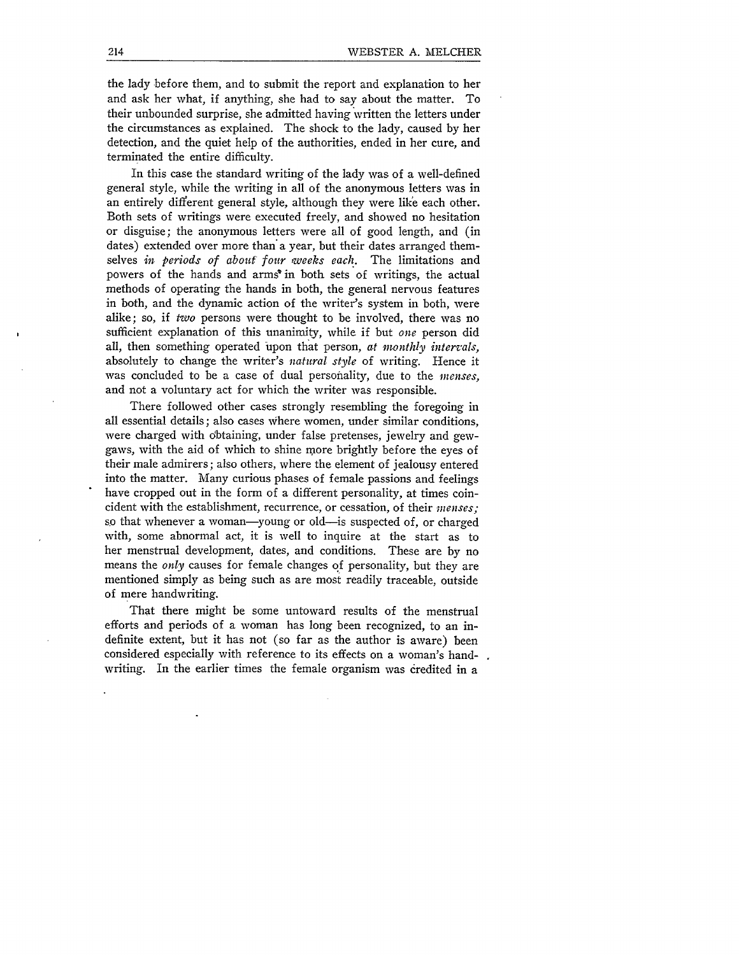the lady before them, and to submit the report and explanation to her and ask her what, if anything, she had to say about the matter. To their unbounded surprise, she admitted having written the letters under the circumstances as explained. The shock to the lady, caused by her detection, and the quiet help of the authorities, ended in her cure, and terminated the entire difficulty.

In this case the standard writing of the lady was of a well-defined general style, while the writing in all of the anonymous letters was in an entirely different general style, although they were like each other. Both sets of writings were executed freely, and showed no hesitation or disguise; the anonymous letters were all of good length, and (in dates) extended over more than a year, but their dates arranged themselves *in periods of about four weeks each*. The limitations and powers of the hands and arms" in both sets of writings, the actual methods of operating the hands in both, the general nervous features in both, and the dynamic action of the writer's system in both, were alike; so, if *two* persons were thought to be involved, there was no sufficient explanation of this unanimity, while if but *one* person did all, then something operated upon that person, *at monthly intervals,* absolutely to change the writer's *natural style* of writing. Hence it was concluded to be a case of dual personality, due to the *menses,* and not a voluntary act for which the writer was responsible.

There followed other cases strongly resembling the foregoing in all essential details; also cases where women, under similar conditions, were charged with obtaining, under false pretenses, jewelry and gewgaws, with the aid of which to shine rore brightly before the eyes of their male admirers; also others, where the element of jealousy entered into the matter. Many curious phases of female passions and feelings have cropped out in the form of a different personality, at times coincident with the establishment, recurrence, or cessation, of their *menses*; so that whenever a woman-young or old-is suspected of, or charged with, some abnormal act, it is well to inquire at the start as to her menstrual development, dates, and conditions. These are by no means the *only* causes for female changes of personality, but they are mentioned simply as being such as are most readily traceable, outside of mere handwriting.

That there might be some untoward results of the menstrual efforts and periods of a woman has long been recognized, to an indefinite extent, but it has not (so far as the author is aware) been considered especially with reference to its effects on a woman's handwriting. In the earlier times the female organism was credited in a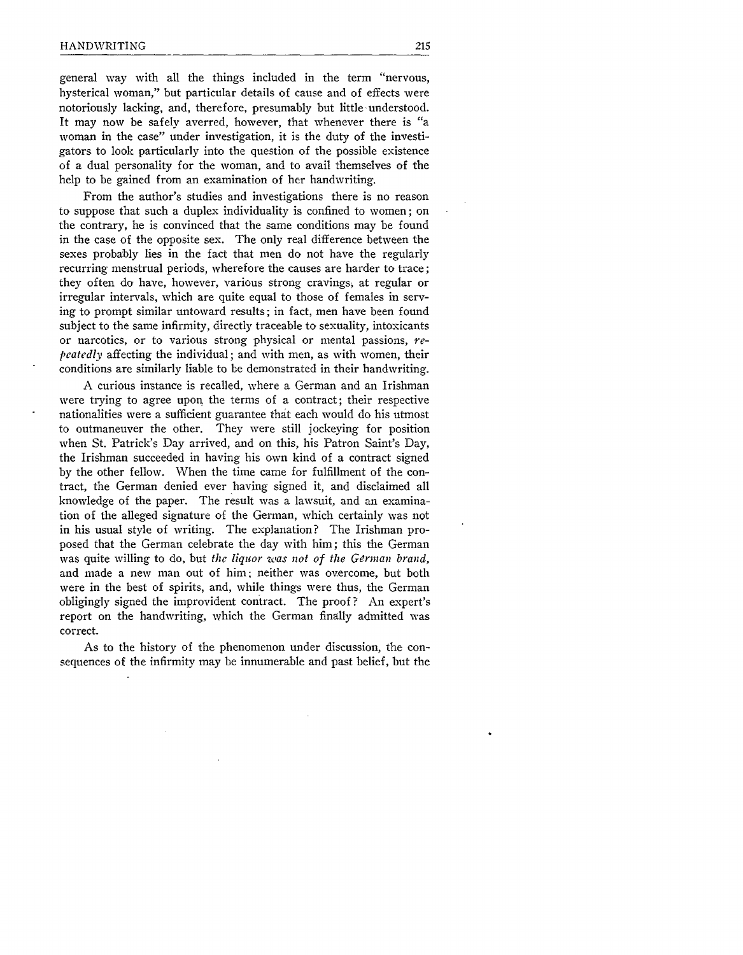general way with all the things included in the term "nervous, hysterical woman," but particular details of cause and of effects were notoriously lacking, and, therefore, presumably but little understood. It may now be safely averred, however, that whenever there is "a woman in the case" under investigation, it is the duty of the investigators to look particularly into the question of the possible existence of a dual personality for the woman, and to avail themselves of the help to be gained from an examination of her handwriting.

From the author's studies and investigations there is no reason to suppose that such a duplex individuality is confined to women; on the contrary, he is convinced that the same conditions may be found in the case of the opposite sex. The only real difference between the sexes probably lies in the fact that men do not have the regularly recurring menstrual periods, wherefore the causes are harder to trace; they often do have, however, various strong cravings, at regular or irregular intervals, which are quite equal to those of females in serving to prompt similar untoward results; in fact, men have been found subject to the same infirmity, directly traceable to sexuality, intoxicants or narcotics, or to various strong physical or mental passions, *repeatedly* affecting the individual; and with men, as with women, their conditions are similarly liable to be demonstrated in their handwriting.

A curious instance is recalled, where a German and an Irishman were trying to agree upon the terms of a contract; their respective nationalities were a sufficient guarantee that each would do his utmost to outmaneuver the other. They were still jockeying for position when St. Patrick's Day arrived, and on this, his Patron Saint's Day, the Irishman succeeded in having his own kind of a contract signed by the other fellow. When the time came for fulfillment of the contract, the German denied ever having signed it, and disclaimed all knowledge of the paper. The result was a lawsuit, and an examination of the alleged signature of the German, which certainly was not in his usual style of writing. The explanation? The Irishman proposed that the German celebrate the day with him; this the German was quite willing to do, but *the liquor was not of the German brand*, and made a new man out of him; neither was overcome, but both were in the best of spirits, and, while things were thus, the German obligingly signed the improvident contract. The proof ? An expert's report on the handwriting, which the German finally admitted was correct.

As to the history of the phenomenon under discussion, the consequences of the infirmity may be innumerable and past belief, but the